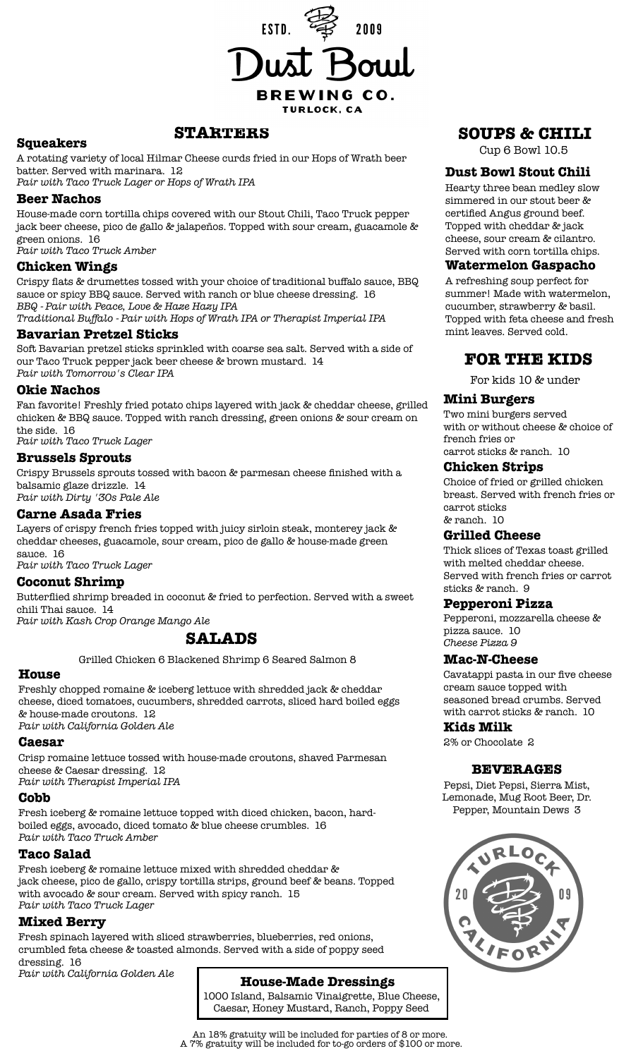

#### **STARTERS Squeakers**

A rotating variety of local Hilmar Cheese curds fried in our Hops of Wrath beer batter. Served with marinara. 12

*Pair with Taco Truck Lager or Hops of Wrath IPA*

#### **Beer Nachos**

House-made corn tortilla chips covered with our Stout Chili, Taco Truck pepper jack beer cheese, pico de gallo & jalapeños. Topped with sour cream, guacamole & green onions. 16

*Pair with Taco Truck Amber*

## **Chicken Wings**

Crispy flats & drumettes tossed with your choice of traditional buffalo sauce, BBQ sauce or spicy BBQ sauce. Served with ranch or blue cheese dressing. 16 *BBQ - Pair with Peace, Love & Haze Hazy IPA*

*Traditional Buffalo - Pair with Hops of Wrath IPA or Therapist Imperial IPA*

## **Bavarian Pretzel Sticks**

Soft Bavarian pretzel sticks sprinkled with coarse sea salt. Served with a side of our Taco Truck pepper jack beer cheese & brown mustard. 14 *Pair with Tomorrow's Clear IPA*

## **Okie Nachos**

Fan favorite! Freshly fried potato chips layered with jack & cheddar cheese, grilled chicken & BBQ sauce. Topped with ranch dressing, green onions & sour cream on the side. 16

*Pair with Taco Truck Lager*

## **Brussels Sprouts**

Crispy Brussels sprouts tossed with bacon & parmesan cheese finished with a balsamic glaze drizzle. 14

*Pair with Dirty '30s Pale Ale*

## **Carne Asada Fries**

Layers of crispy french fries topped with juicy sirloin steak, monterey jack & cheddar cheeses, guacamole, sour cream, pico de gallo & house-made green sauce. 16

*Pair with Taco Truck Lager*

## **Coconut Shrimp**

Butterflied shrimp breaded in coconut & fried to perfection. Served with a sweet chili Thai sauce. 14

*Pair with Kash Crop Orange Mango Ale*

## **SALADS**

Grilled Chicken 6 Blackened Shrimp 6 Seared Salmon 8

## **House**

Freshly chopped romaine & iceberg lettuce with shredded jack & cheddar cheese, diced tomatoes, cucumbers, shredded carrots, sliced hard boiled eggs & house-made croutons. 12

*Pair with California Golden Ale*

#### **Caesar**

Crisp romaine lettuce tossed with house-made croutons, shaved Parmesan cheese & Caesar dressing. 12 *Pair with Therapist Imperial IPA*

#### **Cobb**

Fresh iceberg & romaine lettuce topped with diced chicken, bacon, hardboiled eggs, avocado, diced tomato & blue cheese crumbles. 16 *Pair with Taco Truck Amber*

## **Taco Salad**

Fresh iceberg & romaine lettuce mixed with shredded cheddar & jack cheese, pico de gallo, crispy tortilla strips, ground beef & beans. Topped with avocado & sour cream. Served with spicy ranch. 15 *Pair with Taco Truck Lager*

## **Mixed Berry**

Fresh spinach layered with sliced strawberries, blueberries, red onions, crumbled feta cheese & toasted almonds. Served with a side of poppy seed dressing. 16

*Pair with California Golden Ale*

## **House-Made Dressings**

1000 Island, Balsamic Vinaigrette, Blue Cheese, Caesar, Honey Mustard, Ranch, Poppy Seed

## **SOUPS & CHILI**

Cup 6 Bowl 10.5

#### **Dust Bowl Stout Chili**

Hearty three bean medley slow simmered in our stout beer & certified Angus ground beef. Topped with cheddar & jack cheese, sour cream & cilantro. Served with corn tortilla chips.

#### **Watermelon Gaspacho**

A refreshing soup perfect for summer! Made with watermelon, cucumber, strawberry & basil. Topped with feta cheese and fresh mint leaves. Served cold.

## **FOR THE KIDS**

For kids 10 & under

## **Mini Burgers**

Two mini burgers served with or without cheese & choice of french fries or carrot sticks & ranch. 10

## **Chicken Strips**

Choice of fried or grilled chicken breast. Served with french fries or carrot sticks & ranch. 10

## **Grilled Cheese**

Thick slices of Texas toast grilled with melted cheddar cheese. Served with french fries or carrot sticks & ranch. 9

## **Pepperoni Pizza**

Pepperoni, mozzarella cheese & pizza sauce. 10 *Cheese Pizza 9*

## **Mac-N-Cheese**

Cavatappi pasta in our five cheese cream sauce topped with seasoned bread crumbs. Served with carrot sticks & ranch. 10

## **Kids Milk**

2% or Chocolate 2

## **BEVERAGES**

Pepsi, Diet Pepsi, Sierra Mist, Lemonade, Mug Root Beer, Dr. Pepper, Mountain Dews 3



An 18% gratuity will be included for parties of 8 or more. A 7% gratuity will be included for to-go orders of \$100 or more.